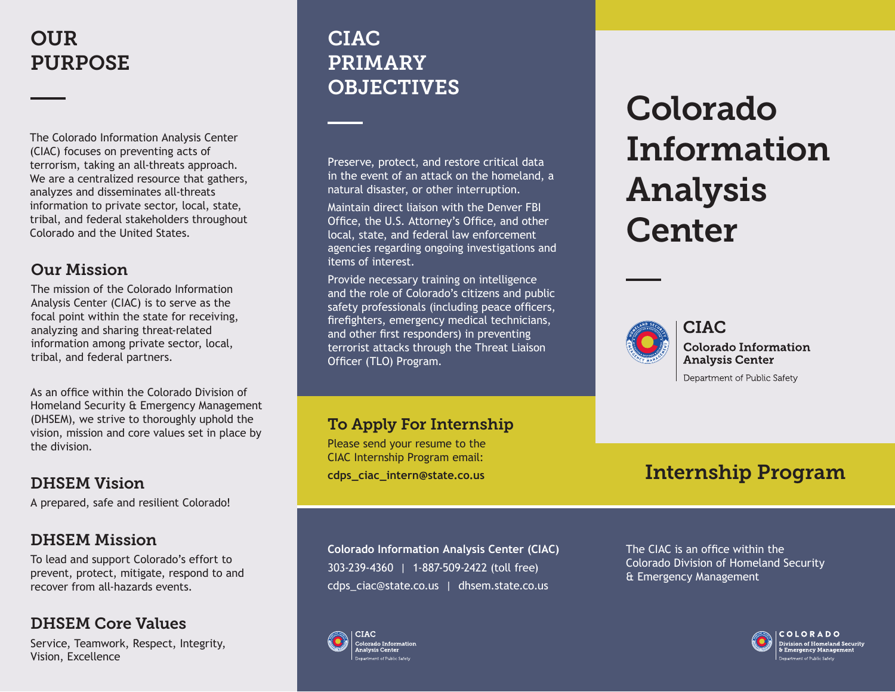# **OUR** PURPOSE

The Colorado Information Analysis Center (CIAC) focuses on preventing acts of terrorism, taking an all-threats approach. We are a centralized resource that gathers, analyzes and disseminates all-threats information to private sector, local, state, tribal, and federal stakeholders throughout Colorado and the United States.

### Our Mission

The mission of the Colorado Information Analysis Center (CIAC) is to serve as the focal point within the state for receiving, analyzing and sharing threat-related information among private sector, local, tribal, and federal partners.

As an office within the Colorado Division of Homeland Security & Emergency Management (DHSEM), we strive to thoroughly uphold the vision, mission and core values set in place by the division.

## DHSEM Vision

A prepared, safe and resilient Colorado!

## DHSEM Mission

To lead and support Colorado's effort to prevent, protect, mitigate, respond to and recover from all-hazards events.

## DHSEM Core Values

Service, Teamwork, Respect, Integrity, Vision, Excellence

# CIAC PRIMARY OBJECTIVES

Preserve, protect, and restore critical data in the event of an attack on the homeland, a natural disaster, or other interruption.

Maintain direct liaison with the Denver FBI Office, the U.S. Attorney's Office, and other local, state, and federal law enforcement agencies regarding ongoing investigations and items of interest.

Provide necessary training on intelligence and the role of Colorado's citizens and public safety professionals (including peace officers, firefighters, emergency medical technicians, and other first responders) in preventing terrorist attacks through the Threat Liaison Officer (TLO) Program.

# To Apply For Internship

Please send your resume to the CIAC Internship Program email: **cdps\_ciac\_intern@state.co.us**

**Colorado Information Analysis Center (CIAC)** 303-239-4360 | 1-887-509-2422 (toll free) cdps\_ciac@state.co.us | dhsem.state.co.us

# Colorado Information Analysis **Center**



**CIAC Colorado Information Analysis Center** 

Department of Public Safety

# Internship Program

The CIAC is an office within the Colorado Division of Homeland Security & Emergency Management